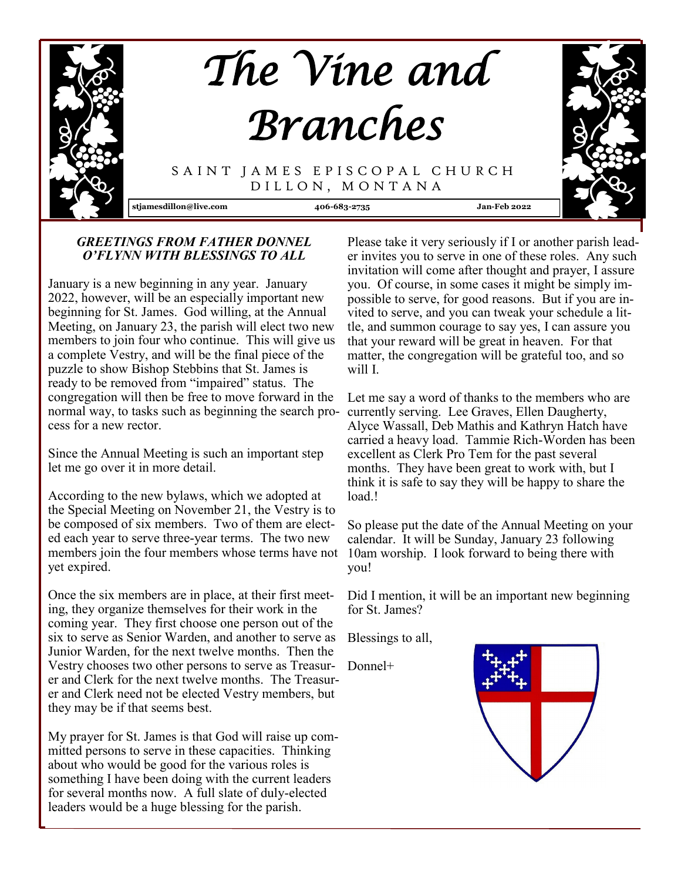

## *GREETINGS FROM FATHER DONNEL O'FLYNN WITH BLESSINGS TO ALL*

January is a new beginning in any year. January 2022, however, will be an especially important new beginning for St. James. God willing, at the Annual Meeting, on January 23, the parish will elect two new members to join four who continue. This will give us a complete Vestry, and will be the final piece of the puzzle to show Bishop Stebbins that St. James is ready to be removed from "impaired" status. The congregation will then be free to move forward in the normal way, to tasks such as beginning the search process for a new rector.

Since the Annual Meeting is such an important step let me go over it in more detail.

According to the new bylaws, which we adopted at the Special Meeting on November 21, the Vestry is to be composed of six members. Two of them are elected each year to serve three-year terms. The two new members join the four members whose terms have not yet expired.

Once the six members are in place, at their first meeting, they organize themselves for their work in the coming year. They first choose one person out of the six to serve as Senior Warden, and another to serve as Junior Warden, for the next twelve months. Then the Vestry chooses two other persons to serve as Treasurer and Clerk for the next twelve months. The Treasurer and Clerk need not be elected Vestry members, but they may be if that seems best.

My prayer for St. James is that God will raise up committed persons to serve in these capacities. Thinking about who would be good for the various roles is something I have been doing with the current leaders for several months now. A full slate of duly-elected leaders would be a huge blessing for the parish.

Please take it very seriously if I or another parish leader invites you to serve in one of these roles. Any such invitation will come after thought and prayer, I assure you. Of course, in some cases it might be simply impossible to serve, for good reasons. But if you are invited to serve, and you can tweak your schedule a little, and summon courage to say yes, I can assure you that your reward will be great in heaven. For that matter, the congregation will be grateful too, and so will I.

Let me say a word of thanks to the members who are currently serving. Lee Graves, Ellen Daugherty, Alyce Wassall, Deb Mathis and Kathryn Hatch have carried a heavy load. Tammie Rich-Worden has been excellent as Clerk Pro Tem for the past several months. They have been great to work with, but I think it is safe to say they will be happy to share the load.!

So please put the date of the Annual Meeting on your calendar. It will be Sunday, January 23 following 10am worship. I look forward to being there with you!

Did I mention, it will be an important new beginning for St. James?

Blessings to all,

Donnel+

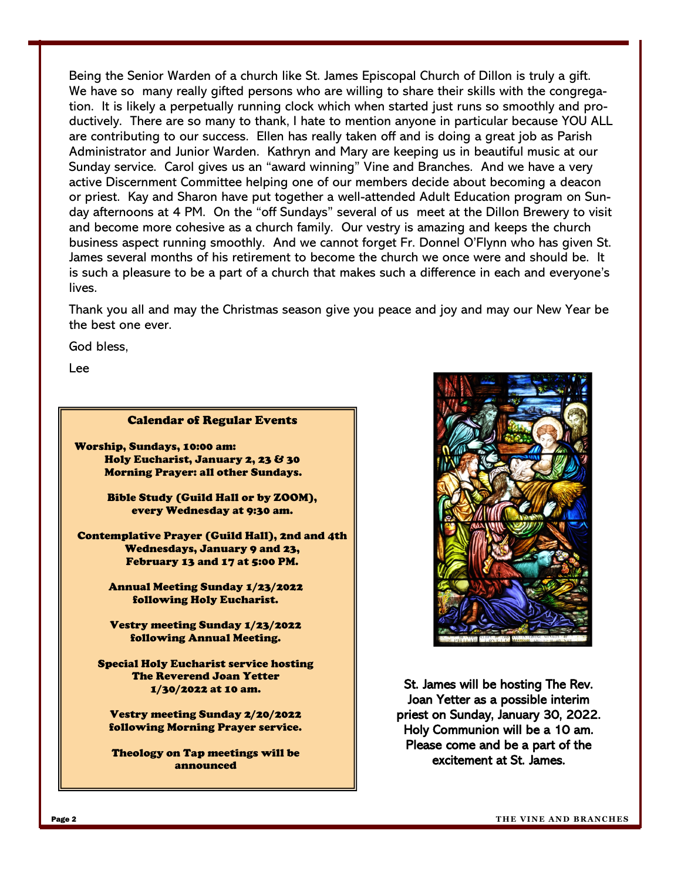Being the Senior Warden of a church like St. James Episcopal Church of Dillon is truly a gift. We have so many really gifted persons who are willing to share their skills with the congregation. It is likely a perpetually running clock which when started just runs so smoothly and productively. There are so many to thank, I hate to mention anyone in particular because YOU ALL are contributing to our success. Ellen has really taken off and is doing a great job as Parish Administrator and Junior Warden. Kathryn and Mary are keeping us in beautiful music at our Sunday service. Carol gives us an "award winning" Vine and Branches. And we have a very active Discernment Committee helping one of our members decide about becoming a deacon or priest. Kay and Sharon have put together a well-attended Adult Education program on Sunday afternoons at 4 PM. On the "off Sundays" several of us meet at the Dillon Brewery to visit and become more cohesive as a church family. Our vestry is amazing and keeps the church business aspect running smoothly. And we cannot forget Fr. Donnel O'Flynn who has given St. James several months of his retirement to become the church we once were and should be. It is such a pleasure to be a part of a church that makes such a difference in each and everyone's lives.

Thank you all and may the Christmas season give you peace and joy and may our New Year be the best one ever.

God bless,

Lee

#### Calendar of Regular Events

Worship, Sundays, 10:00 am: Holy Eucharist, January 2, 23 & 30 Morning Prayer: all other Sundays.

> Bible Study (Guild Hall or by ZOOM), every Wednesday at 9:30 am.

Contemplative Prayer (Guild Hall), 2nd and 4th Wednesdays, January 9 and 23, February 13 and 17 at 5:00 PM.

> Annual Meeting Sunday 1/23/2022 following Holy Eucharist.

> Vestry meeting Sunday 1/23/2022 following Annual Meeting.

Special Holy Eucharist service hosting The Reverend Joan Yetter 1/30/2022 at 10 am.

Vestry meeting Sunday 2/20/2022 following Morning Prayer service.

Theology on Tap meetings will be announced



St. James will be hosting The Rev. Joan Yetter as a possible interim priest on Sunday, January 30, 2022. Holy Communion will be a 10 am. Please come and be a part of the excitement at St. James.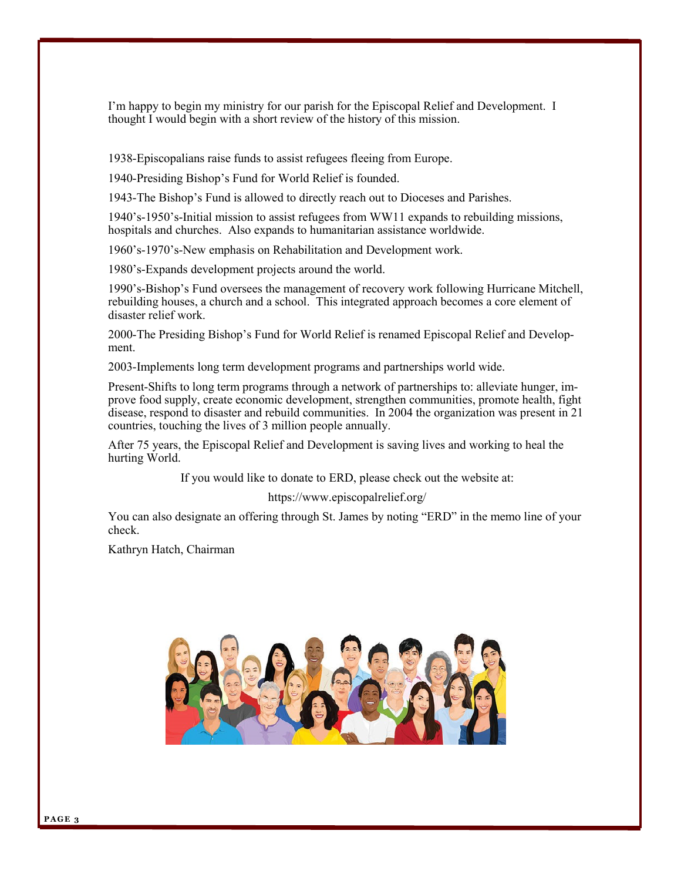I'm happy to begin my ministry for our parish for the Episcopal Relief and Development. I thought I would begin with a short review of the history of this mission.

1938-Episcopalians raise funds to assist refugees fleeing from Europe.

1940-Presiding Bishop's Fund for World Relief is founded.

1943-The Bishop's Fund is allowed to directly reach out to Dioceses and Parishes.

1940's-1950's-Initial mission to assist refugees from WW11 expands to rebuilding missions, hospitals and churches. Also expands to humanitarian assistance worldwide.

1960's-1970's-New emphasis on Rehabilitation and Development work.

1980's-Expands development projects around the world.

1990's-Bishop's Fund oversees the management of recovery work following Hurricane Mitchell, rebuilding houses, a church and a school. This integrated approach becomes a core element of disaster relief work.

2000-The Presiding Bishop's Fund for World Relief is renamed Episcopal Relief and Development.

2003-Implements long term development programs and partnerships world wide.

Present-Shifts to long term programs through a network of partnerships to: alleviate hunger, improve food supply, create economic development, strengthen communities, promote health, fight disease, respond to disaster and rebuild communities. In 2004 the organization was present in 21 countries, touching the lives of 3 million people annually.

After 75 years, the Episcopal Relief and Development is saving lives and working to heal the hurting World.

If you would like to donate to ERD, please check out the website at:

https://www.episcopalrelief.org/

You can also designate an offering through St. James by noting "ERD" in the memo line of your check.

Kathryn Hatch, Chairman